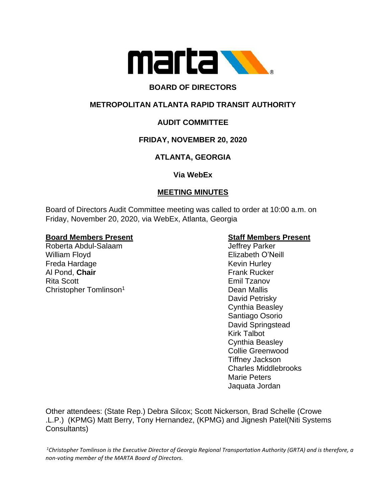

# **BOARD OF DIRECTORS**

# **METROPOLITAN ATLANTA RAPID TRANSIT AUTHORITY**

# **AUDIT COMMITTEE**

# **FRIDAY, NOVEMBER 20, 2020**

# **ATLANTA, GEORGIA**

## **Via WebEx**

# **MEETING MINUTES**

Board of Directors Audit Committee meeting was called to order at 10:00 a.m. on Friday, November 20, 2020, via WebEx, Atlanta, Georgia

## **Board Members Present Staff Members Present**

Roberta Abdul-Salaam Jeffrey Parker William Floyd **Elizabeth O'Neill** Freda Hardage Kevin Hurley Al Pond, Chair **Frank Rucker Frank Rucker** Rita Scott Emil Tzanov Christopher Tomlinson<sup>1</sup> Dean Mallis

David Petrisky Cynthia Beasley Santiago Osorio David Springstead Kirk Talbot Cynthia Beasley Collie Greenwood Tiffney Jackson Charles Middlebrooks Marie Peters Jaquata Jordan

Other attendees: (State Rep.) Debra Silcox; Scott Nickerson, Brad Schelle (Crowe .L.P.) (KPMG) Matt Berry, Tony Hernandez, (KPMG) and Jignesh Patel(Niti Systems Consultants)

 ${}^{1}$ Christopher Tomlinson is the Executive Director of Georgia Regional Transportation Authority (GRTA) and is therefore, a *non-voting member of the MARTA Board of Directors.*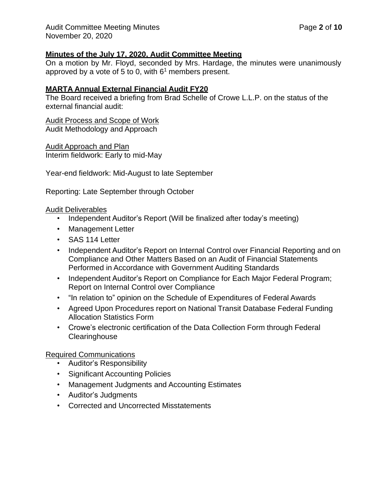## **Minutes of the July 17, 2020, Audit Committee Meeting**

On a motion by Mr. Floyd, seconded by Mrs. Hardage, the minutes were unanimously approved by a vote of 5 to 0, with  $6<sup>1</sup>$  members present.

## **MARTA Annual External Financial Audit FY20**

The Board received a briefing from Brad Schelle of Crowe L.L.P. on the status of the external financial audit:

Audit Process and Scope of Work Audit Methodology and Approach

Audit Approach and Plan Interim fieldwork: Early to mid-May

Year-end fieldwork: Mid-August to late September

Reporting: Late September through October

## Audit Deliverables

- Independent Auditor's Report (Will be finalized after today's meeting)
- Management Letter
- SAS 114 Letter
- Independent Auditor's Report on Internal Control over Financial Reporting and on Compliance and Other Matters Based on an Audit of Financial Statements Performed in Accordance with Government Auditing Standards
- Independent Auditor's Report on Compliance for Each Major Federal Program; Report on Internal Control over Compliance
- "In relation to" opinion on the Schedule of Expenditures of Federal Awards
- Agreed Upon Procedures report on National Transit Database Federal Funding Allocation Statistics Form
- Crowe's electronic certification of the Data Collection Form through Federal **Clearinghouse**

Required Communications

- Auditor's Responsibility
- Significant Accounting Policies
- Management Judgments and Accounting Estimates
- Auditor's Judgments
- Corrected and Uncorrected Misstatements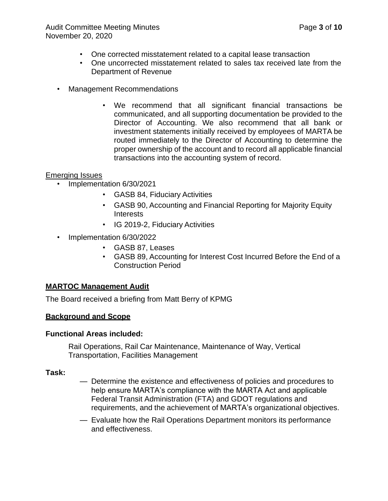- One corrected misstatement related to a capital lease transaction
- One uncorrected misstatement related to sales tax received late from the Department of Revenue
- Management Recommendations
	- We recommend that all significant financial transactions be communicated, and all supporting documentation be provided to the Director of Accounting. We also recommend that all bank or investment statements initially received by employees of MARTA be routed immediately to the Director of Accounting to determine the proper ownership of the account and to record all applicable financial transactions into the accounting system of record.

## Emerging Issues

- Implementation 6/30/2021
	- GASB 84, Fiduciary Activities
	- GASB 90, Accounting and Financial Reporting for Majority Equity Interests
	- IG 2019-2, Fiduciary Activities
- Implementation 6/30/2022
	- GASB 87, Leases
	- GASB 89, Accounting for Interest Cost Incurred Before the End of a Construction Period

## **MARTOC Management Audit**

The Board received a briefing from Matt Berry of KPMG

## **Background and Scope**

## **Functional Areas included:**

Rail Operations, Rail Car Maintenance, Maintenance of Way, Vertical Transportation, Facilities Management

## **Task:**

- Determine the existence and effectiveness of policies and procedures to help ensure MARTA's compliance with the MARTA Act and applicable Federal Transit Administration (FTA) and GDOT regulations and requirements, and the achievement of MARTA's organizational objectives.
- Evaluate how the Rail Operations Department monitors its performance and effectiveness.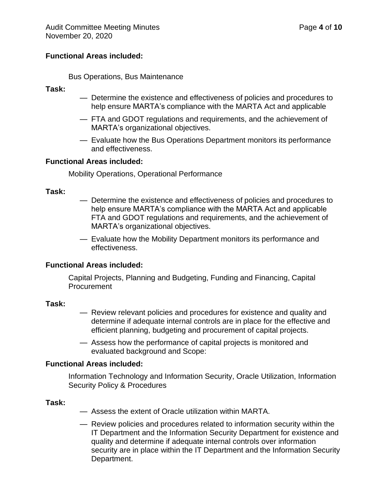### **Functional Areas included:**

Bus Operations, Bus Maintenance

#### **Task:**

- Determine the existence and effectiveness of policies and procedures to help ensure MARTA's compliance with the MARTA Act and applicable
- FTA and GDOT regulations and requirements, and the achievement of MARTA's organizational objectives.
- Evaluate how the Bus Operations Department monitors its performance and effectiveness.

#### **Functional Areas included:**

Mobility Operations, Operational Performance

#### **Task:**

- Determine the existence and effectiveness of policies and procedures to help ensure MARTA's compliance with the MARTA Act and applicable FTA and GDOT regulations and requirements, and the achievement of MARTA's organizational objectives.
- Evaluate how the Mobility Department monitors its performance and effectiveness.

## **Functional Areas included:**

Capital Projects, Planning and Budgeting, Funding and Financing, Capital Procurement

#### **Task:**

- Review relevant policies and procedures for existence and quality and determine if adequate internal controls are in place for the effective and efficient planning, budgeting and procurement of capital projects.
- Assess how the performance of capital projects is monitored and evaluated background and Scope:

#### **Functional Areas included:**

Information Technology and Information Security, Oracle Utilization, Information Security Policy & Procedures

#### **Task:**

- Assess the extent of Oracle utilization within MARTA.
- Review policies and procedures related to information security within the IT Department and the Information Security Department for existence and quality and determine if adequate internal controls over information security are in place within the IT Department and the Information Security Department.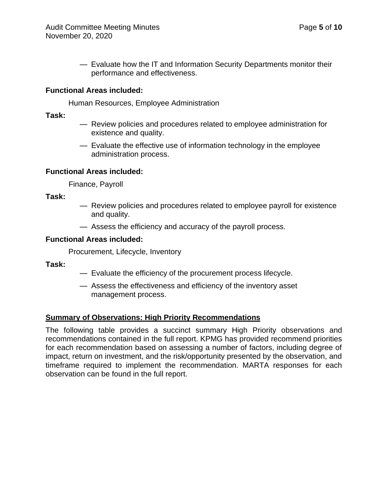— Evaluate how the IT and Information Security Departments monitor their performance and effectiveness.

## **Functional Areas included:**

Human Resources, Employee Administration

**Task:**

- Review policies and procedures related to employee administration for existence and quality.
- Evaluate the effective use of information technology in the employee administration process.

## **Functional Areas included:**

Finance, Payroll

**Task:**

- Review policies and procedures related to employee payroll for existence and quality.
- Assess the efficiency and accuracy of the payroll process.

## **Functional Areas included:**

Procurement, Lifecycle, Inventory

**Task:**

- Evaluate the efficiency of the procurement process lifecycle.
- Assess the effectiveness and efficiency of the inventory asset management process.

## **Summary of Observations: High Priority Recommendations**

The following table provides a succinct summary High Priority observations and recommendations contained in the full report. KPMG has provided recommend priorities for each recommendation based on assessing a number of factors, including degree of impact, return on investment, and the risk/opportunity presented by the observation, and timeframe required to implement the recommendation. MARTA responses for each observation can be found in the full report.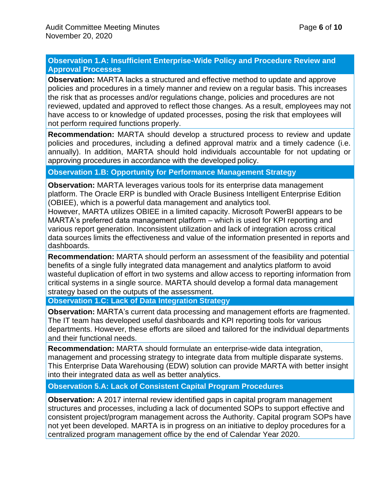## **Observation 1.A: Insufficient Enterprise-Wide Policy and Procedure Review and Approval Processes**

**Observation:** MARTA lacks a structured and effective method to update and approve policies and procedures in a timely manner and review on a regular basis. This increases the risk that as processes and/or regulations change, policies and procedures are not reviewed, updated and approved to reflect those changes. As a result, employees may not have access to or knowledge of updated processes, posing the risk that employees will not perform required functions properly.

**Recommendation:** MARTA should develop a structured process to review and update policies and procedures, including a defined approval matrix and a timely cadence (i.e. annually). In addition, MARTA should hold individuals accountable for not updating or approving procedures in accordance with the developed policy.

**Observation 1.B: Opportunity for Performance Management Strategy**

**Observation:** MARTA leverages various tools for its enterprise data management platform. The Oracle ERP is bundled with Oracle Business Intelligent Enterprise Edition (OBIEE), which is a powerful data management and analytics tool.

However, MARTA utilizes OBIEE in a limited capacity. Microsoft PowerBI appears to be MARTA's preferred data management platform – which is used for KPI reporting and various report generation. Inconsistent utilization and lack of integration across critical data sources limits the effectiveness and value of the information presented in reports and dashboards.

**Recommendation:** MARTA should perform an assessment of the feasibility and potential benefits of a single fully integrated data management and analytics platform to avoid wasteful duplication of effort in two systems and allow access to reporting information from critical systems in a single source. MARTA should develop a formal data management strategy based on the outputs of the assessment.

**Observation 1.C: Lack of Data Integration Strategy**

**Observation:** MARTA's current data processing and management efforts are fragmented. The IT team has developed useful dashboards and KPI reporting tools for various departments. However, these efforts are siloed and tailored for the individual departments and their functional needs.

**Recommendation:** MARTA should formulate an enterprise-wide data integration, management and processing strategy to integrate data from multiple disparate systems. This Enterprise Data Warehousing (EDW) solution can provide MARTA with better insight into their integrated data as well as better analytics.

**Observation 5.A: Lack of Consistent Capital Program Procedures**

**Observation:** A 2017 internal review identified gaps in capital program management structures and processes, including a lack of documented SOPs to support effective and consistent project/program management across the Authority. Capital program SOPs have not yet been developed. MARTA is in progress on an initiative to deploy procedures for a centralized program management office by the end of Calendar Year 2020.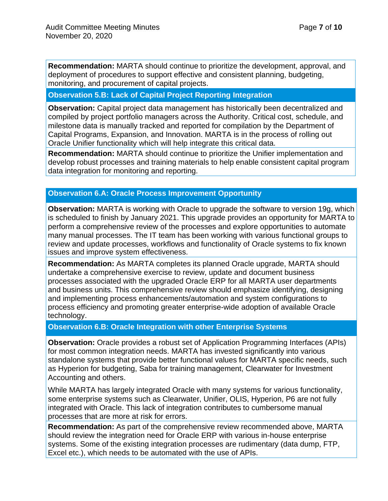**Recommendation:** MARTA should continue to prioritize the development, approval, and deployment of procedures to support effective and consistent planning, budgeting, monitoring, and procurement of capital projects.

## **Observation 5.B: Lack of Capital Project Reporting Integration**

**Observation:** Capital project data management has historically been decentralized and compiled by project portfolio managers across the Authority. Critical cost, schedule, and milestone data is manually tracked and reported for compilation by the Department of Capital Programs, Expansion, and Innovation. MARTA is in the process of rolling out Oracle Unifier functionality which will help integrate this critical data.

**Recommendation:** MARTA should continue to prioritize the Unifier implementation and develop robust processes and training materials to help enable consistent capital program data integration for monitoring and reporting.

## **Observation 6.A: Oracle Process Improvement Opportunity**

**Observation:** MARTA is working with Oracle to upgrade the software to version 19g, which is scheduled to finish by January 2021. This upgrade provides an opportunity for MARTA to perform a comprehensive review of the processes and explore opportunities to automate many manual processes. The IT team has been working with various functional groups to review and update processes, workflows and functionality of Oracle systems to fix known issues and improve system effectiveness.

**Recommendation:** As MARTA completes its planned Oracle upgrade, MARTA should undertake a comprehensive exercise to review, update and document business processes associated with the upgraded Oracle ERP for all MARTA user departments and business units. This comprehensive review should emphasize identifying, designing and implementing process enhancements/automation and system configurations to process efficiency and promoting greater enterprise-wide adoption of available Oracle technology.

#### **Observation 6.B: Oracle Integration with other Enterprise Systems**

**Observation:** Oracle provides a robust set of Application Programming Interfaces (APIs) for most common integration needs. MARTA has invested significantly into various standalone systems that provide better functional values for MARTA specific needs, such as Hyperion for budgeting, Saba for training management, Clearwater for Investment Accounting and others.

While MARTA has largely integrated Oracle with many systems for various functionality, some enterprise systems such as Clearwater, Unifier, OLIS, Hyperion, P6 are not fully integrated with Oracle. This lack of integration contributes to cumbersome manual processes that are more at risk for errors.

**Recommendation:** As part of the comprehensive review recommended above, MARTA should review the integration need for Oracle ERP with various in-house enterprise systems. Some of the existing integration processes are rudimentary (data dump, FTP, Excel etc.), which needs to be automated with the use of APIs.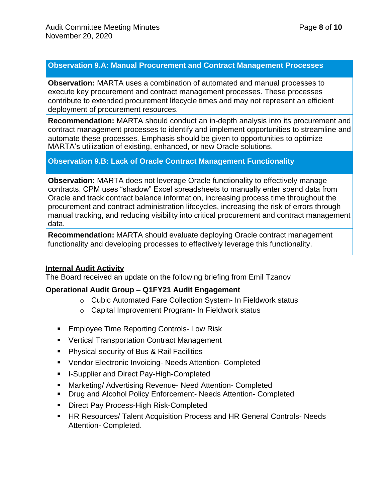## **Observation 9.A: Manual Procurement and Contract Management Processes**

**Observation:** MARTA uses a combination of automated and manual processes to execute key procurement and contract management processes. These processes contribute to extended procurement lifecycle times and may not represent an efficient deployment of procurement resources.

**Recommendation:** MARTA should conduct an in-depth analysis into its procurement and contract management processes to identify and implement opportunities to streamline and automate these processes. Emphasis should be given to opportunities to optimize MARTA's utilization of existing, enhanced, or new Oracle solutions.

## **Observation 9.B: Lack of Oracle Contract Management Functionality**

**Observation:** MARTA does not leverage Oracle functionality to effectively manage contracts. CPM uses "shadow" Excel spreadsheets to manually enter spend data from Oracle and track contract balance information, increasing process time throughout the procurement and contract administration lifecycles, increasing the risk of errors through manual tracking, and reducing visibility into critical procurement and contract management data.

**Recommendation:** MARTA should evaluate deploying Oracle contract management functionality and developing processes to effectively leverage this functionality.

# **Internal Audit Activity**

The Board received an update on the following briefing from Emil Tzanov

## **Operational Audit Group – Q1FY21 Audit Engagement**

- o Cubic Automated Fare Collection System- In Fieldwork status
- o Capital Improvement Program- In Fieldwork status
- Employee Time Reporting Controls- Low Risk
- Vertical Transportation Contract Management
- Physical security of Bus & Rail Facilities
- Vendor Electronic Invoicing- Needs Attention- Completed
- I-Supplier and Direct Pay-High-Completed
- Marketing/ Advertising Revenue- Need Attention- Completed
- Drug and Alcohol Policy Enforcement- Needs Attention- Completed
- Direct Pay Process-High Risk-Completed
- **EXTER RESOURDES/ Talent Acquisition Process and HR General Controls- Needs** Attention- Completed.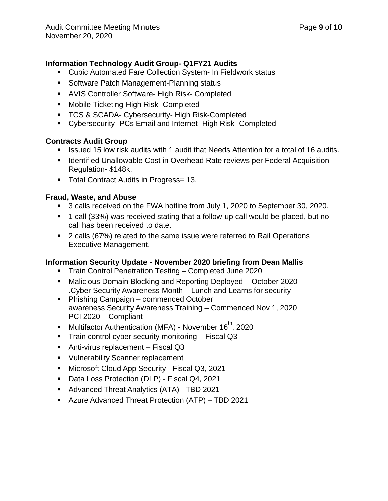# **Information Technology Audit Group- Q1FY21 Audits**

- Cubic Automated Fare Collection System- In Fieldwork status
- Software Patch Management-Planning status
- AVIS Controller Software- High Risk- Completed
- Mobile Ticketing-High Risk- Completed
- **TCS & SCADA- Cybersecurity- High Risk-Completed**
- Cybersecurity- PCs Email and Internet- High Risk- Completed

# **Contracts Audit Group**

- Issued 15 low risk audits with 1 audit that Needs Attention for a total of 16 audits.
- Identified Unallowable Cost in Overhead Rate reviews per Federal Acquisition Regulation- \$148k.
- Total Contract Audits in Progress= 13.

# **Fraud, Waste, and Abuse**

- 3 calls received on the FWA hotline from July 1, 2020 to September 30, 2020.
- 1 call (33%) was received stating that a follow-up call would be placed, but no call has been received to date.
- 2 calls (67%) related to the same issue were referred to Rail Operations Executive Management.

# **Information Security Update - November 2020 briefing from Dean Mallis**

- Train Control Penetration Testing Completed June 2020
- Malicious Domain Blocking and Reporting Deployed October 2020 .Cyber Security Awareness Month – Lunch and Learns for security
- Phishing Campaign commenced October awareness Security Awareness Training – Commenced Nov 1, 2020 PCI 2020 – Compliant
- Multifactor Authentication (MFA) November 16<sup>th</sup>, 2020
- Train control cyber security monitoring Fiscal Q3
- Anti-virus replacement Fiscal Q3
- Vulnerability Scanner replacement
- Microsoft Cloud App Security Fiscal Q3, 2021
- Data Loss Protection (DLP) Fiscal Q4, 2021
- Advanced Threat Analytics (ATA) TBD 2021
- Azure Advanced Threat Protection (ATP) TBD 2021